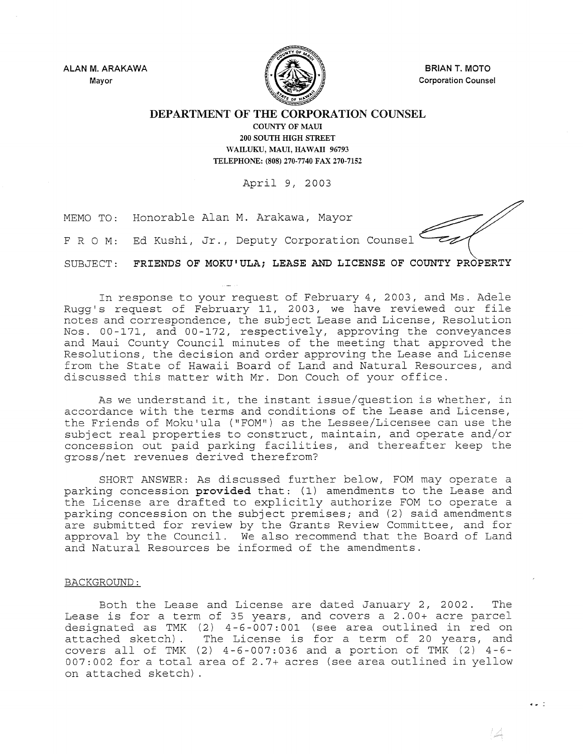ALAN M. ARAKAWA Mayor



BRIAN T. MOTO Corporation Counsel

DEPARTMENT OF THE **CORPORATION** COUNSEL

COUNTY OF MAUl 200 SOUTH HIGH STREET WAILUKU, MAUI, HAWAII 96793 TELEPHONE: (808) 270-7740 FAX 270-7152

April 9, 2003

MEMO TO: Honorable Alan M. Arakawa, Mayor

F R O M: Ed Kushi, Jr., Deputy Corporation Counsel

SUBJECT: FRIENDS OF MOKU'ULAi LEASE AND LICENSE OF COUNTY PROPERTY

In response to your request of February 4, 2003, and Ms. Adele Rugg's request of February 11, 2003, we have reviewed our file notes and correspondence, the subject Lease and License, Resolution Nos. 00-171, and 00-172, respectively, approving the conveyances and Maui County Council minutes of the meeting that approved the Resolutions, the decision and order approving the Lease and License from the State of Hawaii Board of Land and Natural Resources, and discussed this matter with Mr. Don Couch of your office.

As we understand it, the instant issue/question is whether, in accordance with the terms and conditions of the Lease and License, the Friends of Moku'ula ("FOM") as the Lessee/Licensee can use the subject real properties to construct, maintain, and operate and/or concession out paid parking facilities, and thereafter keep the gross/net revenues derived therefrom?

SHORT ANSWER: As discussed further below, FOM may operate a parking concession provided that: (1) amendments to the Lease and the License are drafted to explicitly authorize FOM to operate a parking concession on the subject premises; and (2) said amendments are submitted for review by the Grants Review Committee, and for approval by the Council. We also recommend that the Board of Land and Natural Resources be informed of the amendments.

## BACKGROUND:

Both the Lease and License are dated January 2, 2002. The Lease is for a term of 35 years, and covers a 2.00+ acre parcel designated as TMK (2) 4-6-007:001 (see area outlined in red on attached sketch). The License is for a term of 20 years, and covers all of TMK (2) 4-6-007:036 and a portion of TMK (2) 4-6- 007:002 for a total area of 2.7+ acres (see area outlined in yellow on attached sketch) .

 $\bullet$   $\bullet$   $\pm$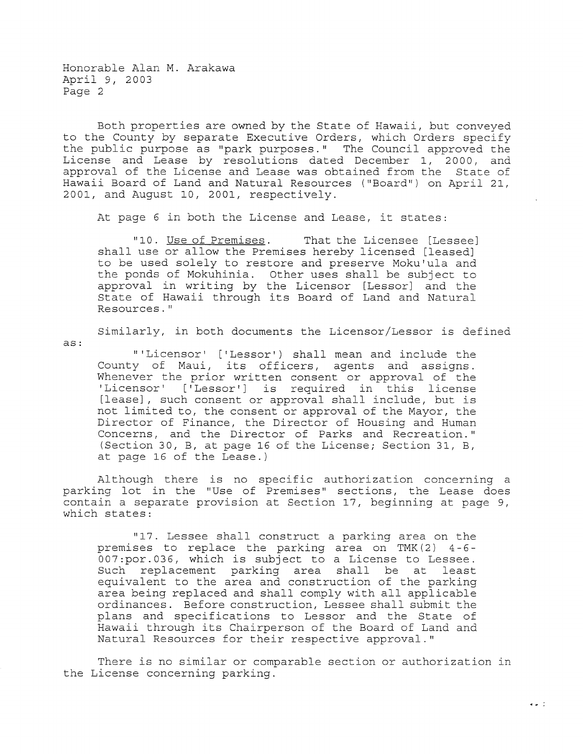Honorable Alan M. Arakawa April 9, 2003 Page 2

Both properties are owned by the State of Hawaii, but conveyed to the County by separate Executive Orders, which Orders specify the public purpose as "park purposes." The Council approved the License and Lease by resolutions dated December 1, 2000, and approval of the License and Lease was obtained from the State of Hawaii Board of Land and Natural Resources ("Board") on April 21, 2001, and August 10, 2001, respectively.

At page 6 in both the License and Lease, it states:

"10. Use of Premises. That the Licensee [Lessee] shall use or allow the Premises hereby licensed [leased] to be used solely to restore and preserve Moku'ula and the ponds of Mokuhinia. Other uses shall be subject to approval in writing by the Licensor [Lessor] and the approvait in witchig by the firechsof (hessor) and the<br>State of Hawaii through its Board of Land and Natural Resources."

Similarly, in both documents the Licensor/Lessor is defined

as:

II 'Licensor' [' Lessor') shall mean and include the County of Maui, its officers, agents and assigns. Whenever the prior written consent or approval of the 'Licensor' ['Lessor'] is required in this license [lease], such consent or approval shall include, but is not limited to, the consent or approval of the Mayor, the Director of Finance, the Director of Housing and Human Concerns, and the Director of Parks and Recreation." (Section 30, B, at page 16 of the License; Section 31, B, at page 16 of the Lease.)

Although there is no specific authorization concerning a parking lot in the "Use of Premises" sections, the Lease does contain a separate provision at Section 17, beginning at page 9, which states:

"17. Lessee shall construct a parking area on the premises to replace the parking area on TMK  $(2)$  4-6-007:por.036, which is subject to a License to Lessee. Such replacement parking area shall be at least equivalent to the area and construction of the parking area being replaced and shall comply with all applicable ordinances. Before construction, Lessee shall submit the plans and specifications to Lessor and the State of Hawaii through its Chairperson of the Board of Land and Natural Resources for their respective approval."

There is no similar or comparable section or authorization in the License concerning parking.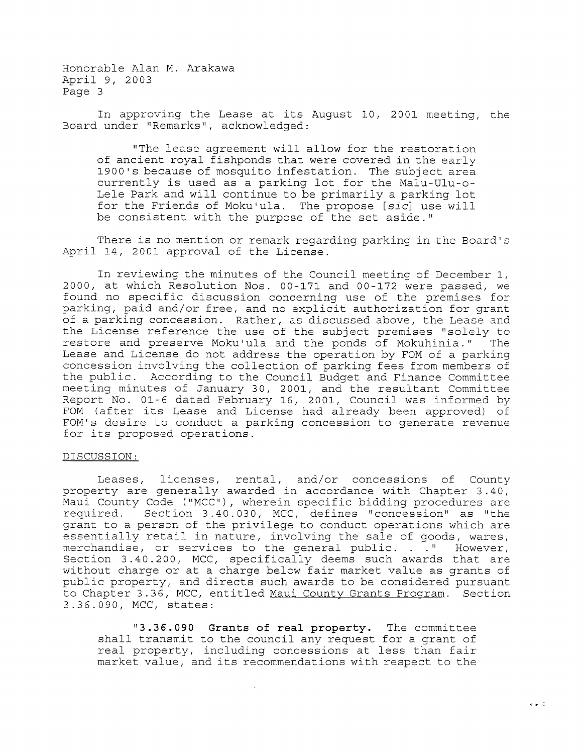Honorable Alan M. Arakawa April 9, 2003 Page 3

In approving the Lease at its August 10, 2001 meeting, the Board under "Remarks", acknowledged:

"The lease agreement will allow for the restoration of ancient royal fishponds that were covered in the early 1900's because of mosquito infestation. The subject area currently is used as a parking lot for the Malu-Ulu-o-Lele Park and will continue to be primarily a parking lot for the Friends of Moku'ula. The propose *[sic]* use will be consistent with the purpose of the set aside."

There is no mention or remark regarding parking in the Board's April 14, 2001 approval of the License.

In reviewing the minutes of the Council meeting of December 1, 2000, at which Resolution Nos. 00-171 and 00-172 were passed, we found no specific discussion concerning use of the premises for parking, paid and/or free, and no explicit authorization for grant of a parking concession. Rather, as discussed above, the Lease and the License reference the use of the subject premises "solely to restore and preserve Moku' ula and the ponds of Mokuhinia." The Lease and License do not address the operation by FOM of a parking concession involving the collection of parking fees from members of the public. According to the Council Budget and Finance Committee meeting minutes of January 30, 2001, and the resultant Committee Report No. 01-6 dated February 16, 2001, Council was informed by FOM (after its Lease and License had already been approved) of FOM's desire to conduct a parking concession to generate revenue for its proposed operations.

## DISCUSSION:

Leases, licenses, rental, and/or concessions of County property are generally awarded in accordance with Chapter 3.40, Maui County Code ("MCC"), wherein specific bidding procedures are required. Section 3.40.030, MCC, defines "concession" as "the grant to a person of the privilege to conduct operations which are essentially retail in nature, involving the sale of goods, wares, obscribingly recall in medito, inverving the sare of goods, which, Section 3.40.200, MCC, specifically deems such awards that are without charge or at a charge below fair market value as grants of public property, and directs such awards to be considered pursuant to Chapter 3.36, MCC, entitled Maui County Grants Program. Section 3.36.090, MCC, states:

**"3.36.090 Grants of real property.** The committee shall transmit to the council any request for a grant of real property, including concessions at less than fair market value, and its recommendations with respect to the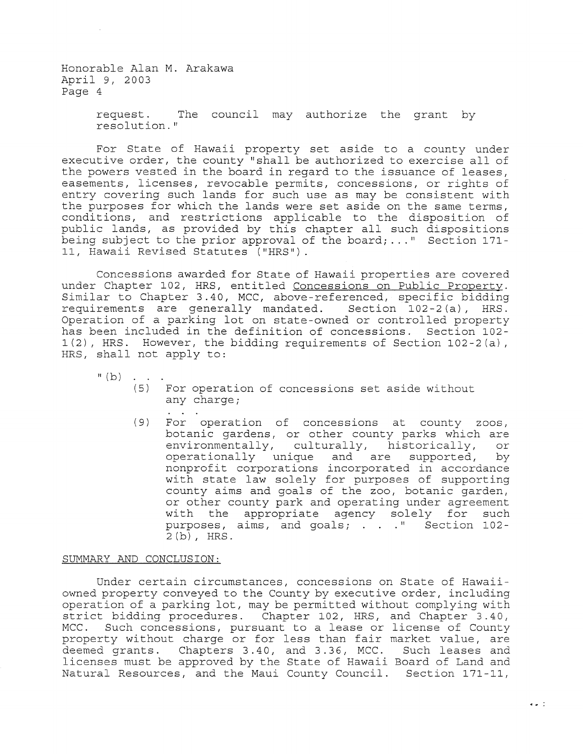Honorable Alan **M.** Arakawa April 9, 2003 Page 4

> request. The council may authorize the grant by resolution."

For State of Hawaii property set aside to a county under executive order, the county "shall be authorized to exercise all of the powers vested in the board in regard to the issuance of leases, easements, licenses, revocable permits, concessions, or rights of entry covering such lands for such use as may be consistent with the purposes for which the lands were set aside on the same terms, conditions, and restrictions applicable to the disposition of public lands, as provided by this chapter all such dispositions being subject to the prior approval of the board;  $\dots$ " Section 171-11, Hawaii Revised Statutes ("HRS").

Concessions awarded for State of Hawaii properties are covered under Chapter 102, HRS, entitled Concessions on Public Property. Similar to Chapter 3.40, MCC, above-referenced, specific bidding requirements are generally mandated. Section 102-2(a), HRS. Operation of a parking lot on state-owned or controlled property has been included in the definition of concessions. Section 102- 1(2), HRS. However, the bidding requirements of Section 102-2(a), HRS, shall not apply to:

 $I^{\text{II}}(b)$  . . .

- (5) For operation of concessions set aside without any charge;
- (9) For operation of concessions at county zoos, botanic gardens, or other county parks which are environmentally, culturally, historically, or<br>operationally unique and are supported, by operationally unique and are supported, nonprofit corporations incorporated in accordance with state law solely for purposes of supporting county aims and goals of the zoo, botanic garden, or other county park and operating under agreement with the appropriate agency solely for such purposes, aims, and goals; . . . " Section 102-2 (b), HRS.

## SUMMARY AND CONCLUSION:

Under certain circumstances, concessions on State of Hawaiiowned property conveyed to the County by executive order, including operation of a parking lot, may be permitted without complying with strict bidding procedures. Chapter 102, HRS, and Chapter 3.40, MCC. Such concessions, pursuant to a lease or license of County property without charge or for less than fair market value, are deemed grants. Chapters 3.40, and 3.36, MCC. Such leases and licenses must be approved by the State of Hawaii Board of Land and Natural Resources, and the Maui County Council. Section 171-11,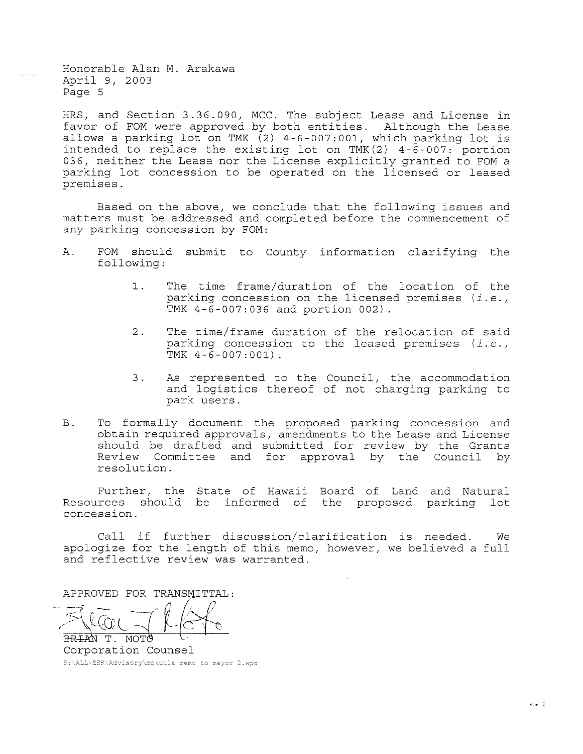Honorable Alan M. Arakawa April *<sup>9</sup>* <sup>1</sup>*2003*  Page 5

HRS, and Section 3.36.090, MCC. The subject Lease and License in favor of FOM were approved by both entities. Although the Lease allows a parking lot on TMK (2) 4-6-007:001, which parking lot is intended to replace the existing lot on TMK(2) 4-6-007: portion 036, neither the Lease nor the License explicitly granted to FOM a parking lot concession to be operated on the licensed or leased premises.

Based on the above, we conclude that the following issues and matters must be addressed and completed before the commencement of any parking concession by FOM:

- A. FOM should submit to County information clarifying the following:
	- 1. The time frame/duration of the location of the parking concession on the licensed premises *(i.e.* <sup>1</sup> TMK 4-6-007: 036 and portion 002) .
	- 2. The time/frame duration of the relocation of said parking concession to the leased premises  $(i.e.,$  TMK  $4-6-007:001)$ .
	- 3. As represented to the Council, the accommodation and logistics thereof of not charging parking to park users.
- B. To formally document the proposed parking concession and obtain required approvals, amendments to the Lease and License should be drafted and submitted for review by the Grants Review Committee and for approval by the Council by resolution.

Further, the State of Hawaii Board of Land and Natural Resources should be informed of the proposed parking lot concession.

Call if further discussion/clarification is needed. We apologize for the length of this memo, however, we believed a full and reflective review was warranted.

APPROVED FOR TRANSMITTAL:

 $-\sin\pi -i\Delta$  $\geq$  lai  $\sqrt{\frac{1}{N}}$ 

BRIAN T. MOTO Corporation Counsel<br>s:\ALL\ESK\Advisory\mokuula memo to mayor 2.wpd